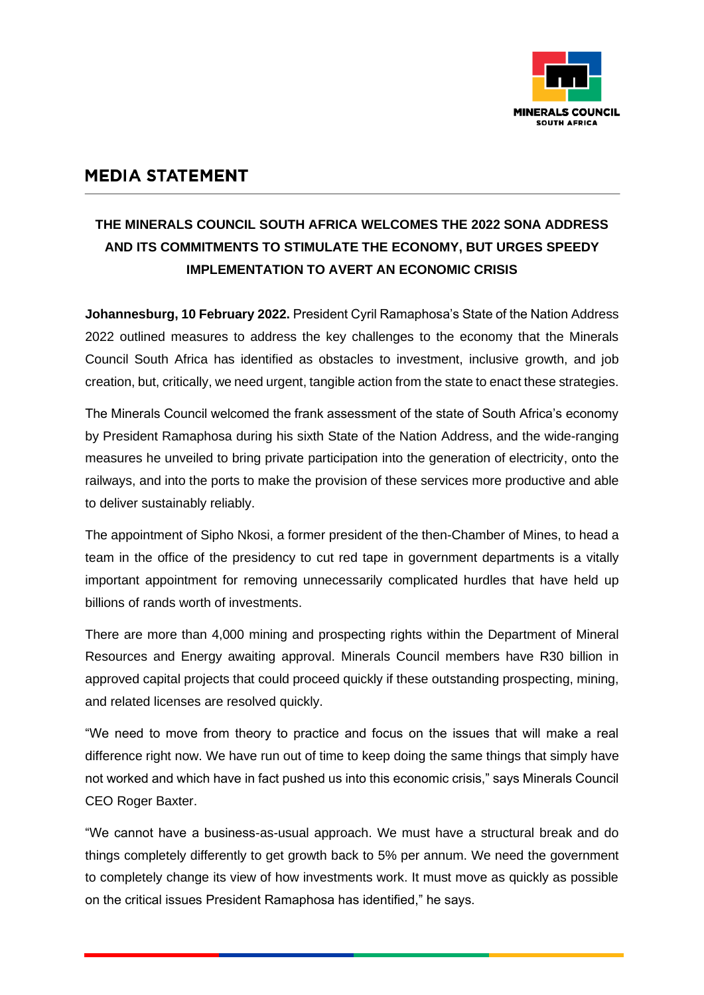

## **MEDIA STATEMENT**

## **THE MINERALS COUNCIL SOUTH AFRICA WELCOMES THE 2022 SONA ADDRESS AND ITS COMMITMENTS TO STIMULATE THE ECONOMY, BUT URGES SPEEDY IMPLEMENTATION TO AVERT AN ECONOMIC CRISIS**

**Johannesburg, 10 February 2022.** President Cyril Ramaphosa's State of the Nation Address 2022 outlined measures to address the key challenges to the economy that the Minerals Council South Africa has identified as obstacles to investment, inclusive growth, and job creation, but, critically, we need urgent, tangible action from the state to enact these strategies.

The Minerals Council welcomed the frank assessment of the state of South Africa's economy by President Ramaphosa during his sixth State of the Nation Address, and the wide-ranging measures he unveiled to bring private participation into the generation of electricity, onto the railways, and into the ports to make the provision of these services more productive and able to deliver sustainably reliably.

The appointment of Sipho Nkosi, a former president of the then-Chamber of Mines, to head a team in the office of the presidency to cut red tape in government departments is a vitally important appointment for removing unnecessarily complicated hurdles that have held up billions of rands worth of investments.

There are more than 4,000 mining and prospecting rights within the Department of Mineral Resources and Energy awaiting approval. Minerals Council members have R30 billion in approved capital projects that could proceed quickly if these outstanding prospecting, mining, and related licenses are resolved quickly.

"We need to move from theory to practice and focus on the issues that will make a real difference right now. We have run out of time to keep doing the same things that simply have not worked and which have in fact pushed us into this economic crisis," says Minerals Council CEO Roger Baxter.

"We cannot have a business-as-usual approach. We must have a structural break and do things completely differently to get growth back to 5% per annum. We need the government to completely change its view of how investments work. It must move as quickly as possible on the critical issues President Ramaphosa has identified," he says.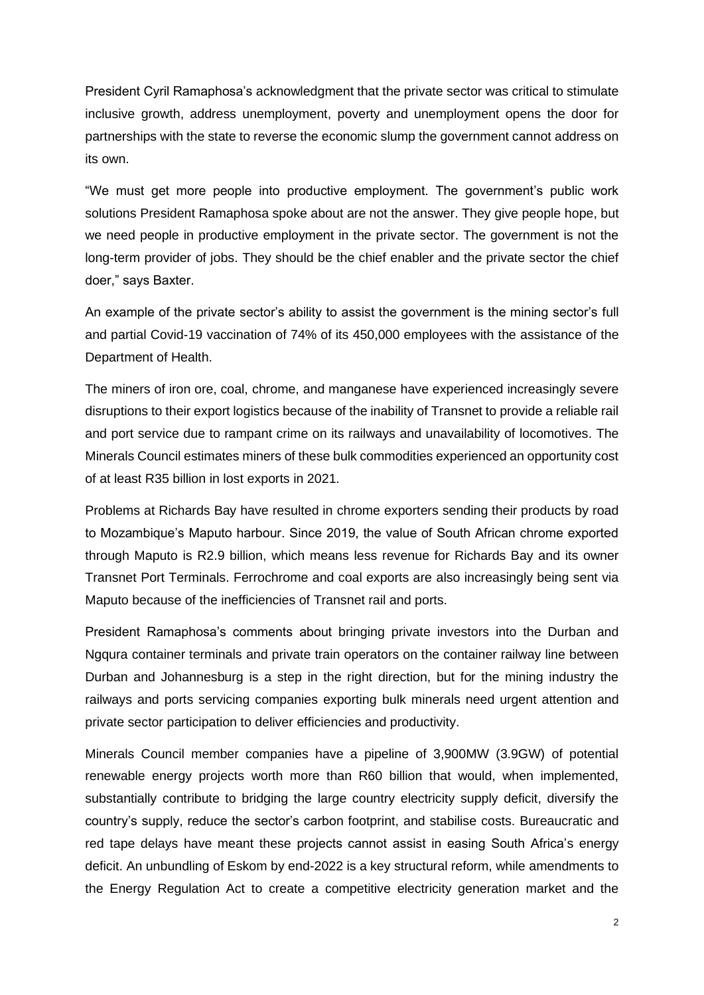President Cyril Ramaphosa's acknowledgment that the private sector was critical to stimulate inclusive growth, address unemployment, poverty and unemployment opens the door for partnerships with the state to reverse the economic slump the government cannot address on its own.

"We must get more people into productive employment. The government's public work solutions President Ramaphosa spoke about are not the answer. They give people hope, but we need people in productive employment in the private sector. The government is not the long-term provider of jobs. They should be the chief enabler and the private sector the chief doer," says Baxter.

An example of the private sector's ability to assist the government is the mining sector's full and partial Covid-19 vaccination of 74% of its 450,000 employees with the assistance of the Department of Health.

The miners of iron ore, coal, chrome, and manganese have experienced increasingly severe disruptions to their export logistics because of the inability of Transnet to provide a reliable rail and port service due to rampant crime on its railways and unavailability of locomotives. The Minerals Council estimates miners of these bulk commodities experienced an opportunity cost of at least R35 billion in lost exports in 2021.

Problems at Richards Bay have resulted in chrome exporters sending their products by road to Mozambique's Maputo harbour. Since 2019, the value of South African chrome exported through Maputo is R2.9 billion, which means less revenue for Richards Bay and its owner Transnet Port Terminals. Ferrochrome and coal exports are also increasingly being sent via Maputo because of the inefficiencies of Transnet rail and ports.

President Ramaphosa's comments about bringing private investors into the Durban and Ngqura container terminals and private train operators on the container railway line between Durban and Johannesburg is a step in the right direction, but for the mining industry the railways and ports servicing companies exporting bulk minerals need urgent attention and private sector participation to deliver efficiencies and productivity.

Minerals Council member companies have a pipeline of 3,900MW (3.9GW) of potential renewable energy projects worth more than R60 billion that would, when implemented, substantially contribute to bridging the large country electricity supply deficit, diversify the country's supply, reduce the sector's carbon footprint, and stabilise costs. Bureaucratic and red tape delays have meant these projects cannot assist in easing South Africa's energy deficit. An unbundling of Eskom by end-2022 is a key structural reform, while amendments to the Energy Regulation Act to create a competitive electricity generation market and the